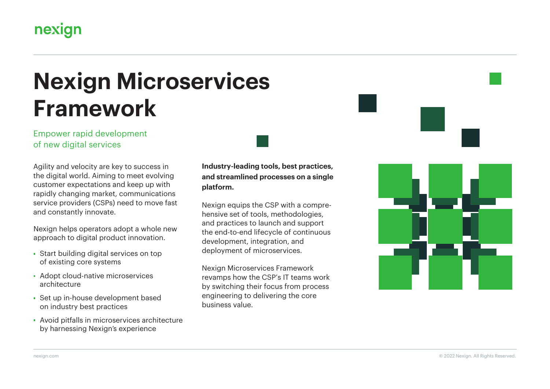# nexign

# **Nexign Microservices Framework**

#### Empower rapid development of new digital services

Agility and velocity are key to success in the digital world. Aiming to meet evolving customer expectations and keep up with rapidly changing market, communications service providers (CSPs) need to move fast and constantly innovate.

Nexign helps operators adopt a whole new approach to digital product innovation.

- Start building digital services on top of existing core systems
- **Adopt cloud-native microservices** architecture
- Set up in-house development based on industry best practices
- Avoid pitfalls in microservices architecture by harnessing Nexign's experience

**Industry-leading tools, best practices, and streamlined processes on a single platform.**

Nexign equips the CSP with a comprehensive set of tools, methodologies, and practices to launch and support the end-to-end lifecycle of continuous development, integration, and deployment of microservices.

Nexign Microservices Framework revamps how the CSP's IT teams work by switching their focus from process engineering to delivering the core business value.

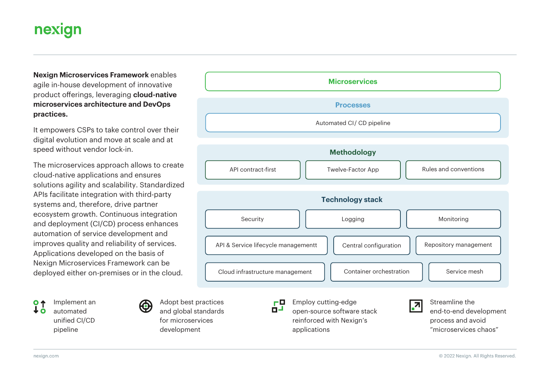# nexign

**Nexign Microservices Framework** enables agile in-house development of innovative product offerings, leveraging **cloud-native microservices architecture and DevOps practices.**

It empowers CSPs to take control over their digital evolution and move at scale and at speed without vendor lock-in.

The microservices approach allows to create cloud-native applications and ensures solutions agility and scalability. Standardized APIs facilitate integration with third-party systems and, therefore, drive partner ecosystem growth. Continuous integration and deployment (CI/CD) process enhances automation of service development and improves quality and reliability of services. Applications developed on the basis of Nexign Microservices Framework can be deployed either on-premises or in the cloud.

Implement an  $O<sub>4</sub>$ automated unified CI/CD pipeline



Adopt best practices and global standards for microservices development



applications

"microservices chaos"